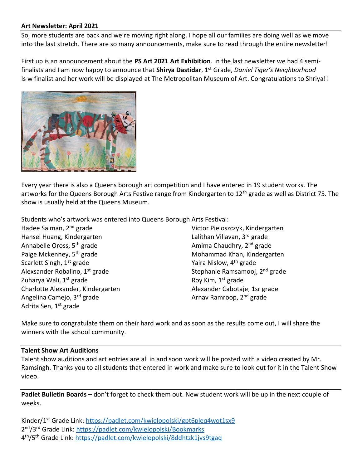## **Art Newsletter: April 2021**

So, more students are back and we're moving right along. I hope all our families are doing well as we move into the last stretch. There are so many announcements, make sure to read through the entire newsletter!

First up is an announcement about the **PS Art 2021 Art Exhibition**. In the last newsletter we had 4 semifinalists and I am now happy to announce that **Shirya Dastidar**, 1st Grade, *Daniel Tiger's Neighborhood* Is w finalist and her work will be displayed at The Metropolitan Museum of Art. Congratulations to Shriya!!



Every year there is also a Queens borough art competition and I have entered in 19 student works. The artworks for the Queens Borough Arts Festive range from Kindergarten to 12<sup>th</sup> grade as well as District 75. The show is usually held at the Queens Museum.

Students who's artwork was entered into Queens Borough Arts Festival:

Hadee Salman, 2nd grade Hansel Huang, Kindergarten Annabelle Oross, 5th grade Paige Mckenney, 5<sup>th</sup> grade Scarlett Singh, 1<sup>st</sup> grade Alexsander Robalino, 1<sup>st</sup> grade Zuharya Wali, 1<sup>st</sup> grade Charlotte Alexander, Kindergarten Angelina Camejo, 3rd grade Adrita Sen, 1<sup>st</sup> grade

Victor Pieloszczyk, Kindergarten Lalithan Villavan, 3rd grade Amima Chaudhry, 2<sup>nd</sup> grade Mohammad Khan, Kindergarten Yaira Nislow, 4<sup>th</sup> grade Stephanie Ramsamooj, 2<sup>nd</sup> grade Roy Kim, 1<sup>st</sup> grade Alexander Cabotaje, 1sr grade Arnav Ramroop, 2<sup>nd</sup> grade

Make sure to congratulate them on their hard work and as soon as the results come out, I will share the winners with the school community.

## **Talent Show Art Auditions**

Talent show auditions and art entries are all in and soon work will be posted with a video created by Mr. Ramsingh. Thanks you to all students that entered in work and make sure to look out for it in the Talent Show video.

**Padlet Bulletin Boards** – don't forget to check them out. New student work will be up in the next couple of weeks.

Kinder/1<sup>st</sup> Grade Link:<https://padlet.com/kwielopolski/gpt6pleq4wot1sx9> 2<sup>nd</sup>/3<sup>rd</sup> Grade Link:<https://padlet.com/kwielopolski/Bookmarks> 4<sup>th</sup>/5<sup>th</sup> Grade Link:<https://padlet.com/kwielopolski/8ddhtzk1jvs9tgaq>